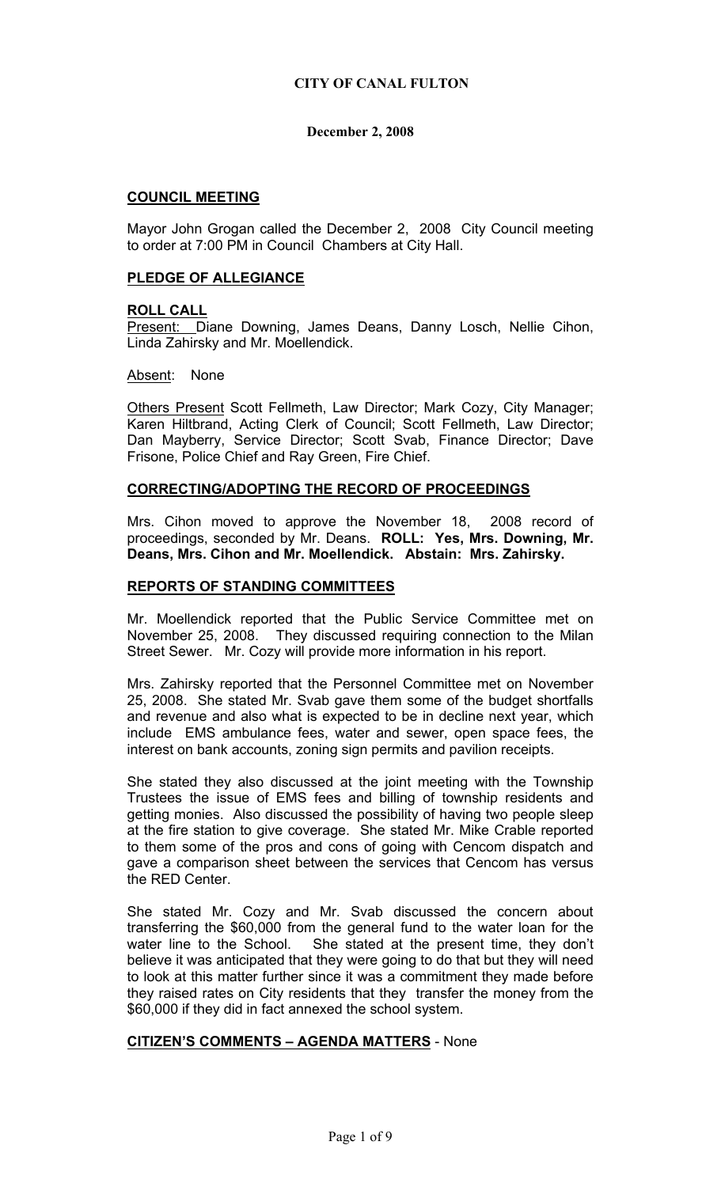## **COUNCIL MEETING**

Mayor John Grogan called the December 2, 2008 City Council meeting to order at 7:00 PM in Council Chambers at City Hall.

### **PLEDGE OF ALLEGIANCE**

#### **ROLL CALL**

Present: Diane Downing, James Deans, Danny Losch, Nellie Cihon, Linda Zahirsky and Mr. Moellendick.

#### Absent: None

Others Present Scott Fellmeth, Law Director; Mark Cozy, City Manager; Karen Hiltbrand, Acting Clerk of Council; Scott Fellmeth, Law Director; Dan Mayberry, Service Director; Scott Svab, Finance Director; Dave Frisone, Police Chief and Ray Green, Fire Chief.

### **CORRECTING/ADOPTING THE RECORD OF PROCEEDINGS**

Mrs. Cihon moved to approve the November 18, 2008 record of proceedings, seconded by Mr. Deans. **ROLL: Yes, Mrs. Downing, Mr. Deans, Mrs. Cihon and Mr. Moellendick. Abstain: Mrs. Zahirsky.** 

### **REPORTS OF STANDING COMMITTEES**

Mr. Moellendick reported that the Public Service Committee met on November 25, 2008. They discussed requiring connection to the Milan Street Sewer. Mr. Cozy will provide more information in his report.

Mrs. Zahirsky reported that the Personnel Committee met on November 25, 2008. She stated Mr. Svab gave them some of the budget shortfalls and revenue and also what is expected to be in decline next year, which include EMS ambulance fees, water and sewer, open space fees, the interest on bank accounts, zoning sign permits and pavilion receipts.

She stated they also discussed at the joint meeting with the Township Trustees the issue of EMS fees and billing of township residents and getting monies. Also discussed the possibility of having two people sleep at the fire station to give coverage. She stated Mr. Mike Crable reported to them some of the pros and cons of going with Cencom dispatch and gave a comparison sheet between the services that Cencom has versus the RED Center.

She stated Mr. Cozy and Mr. Svab discussed the concern about transferring the \$60,000 from the general fund to the water loan for the water line to the School. She stated at the present time, they don't believe it was anticipated that they were going to do that but they will need to look at this matter further since it was a commitment they made before they raised rates on City residents that they transfer the money from the \$60,000 if they did in fact annexed the school system.

#### **CITIZEN'S COMMENTS – AGENDA MATTERS** - None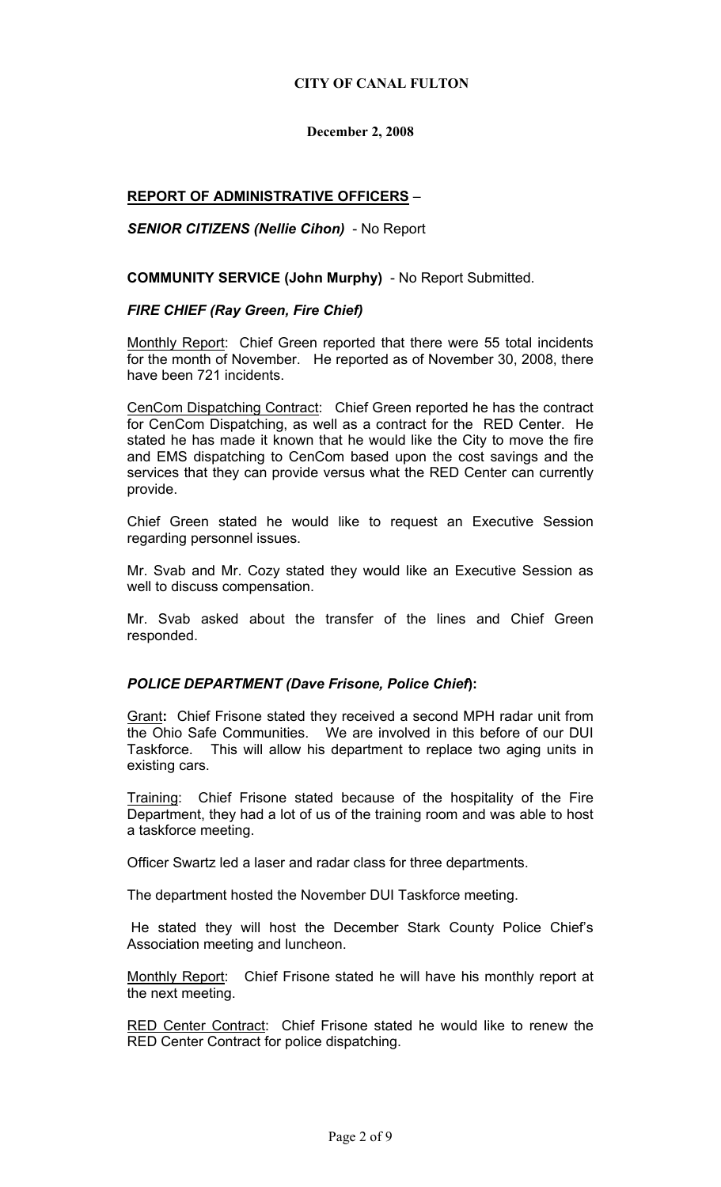### **CITY OF CANAL FULTON**

## **December 2, 2008**

# **REPORT OF ADMINISTRATIVE OFFICERS** –

## *SENIOR CITIZENS (Nellie Cihon)* - No Report

**COMMUNITY SERVICE (John Murphy)** - No Report Submitted.

### *FIRE CHIEF (Ray Green, Fire Chief)*

Monthly Report: Chief Green reported that there were 55 total incidents for the month of November. He reported as of November 30, 2008, there have been 721 incidents.

CenCom Dispatching Contract: Chief Green reported he has the contract for CenCom Dispatching, as well as a contract for the RED Center. He stated he has made it known that he would like the City to move the fire and EMS dispatching to CenCom based upon the cost savings and the services that they can provide versus what the RED Center can currently provide.

Chief Green stated he would like to request an Executive Session regarding personnel issues.

Mr. Svab and Mr. Cozy stated they would like an Executive Session as well to discuss compensation.

Mr. Svab asked about the transfer of the lines and Chief Green responded.

## *POLICE DEPARTMENT (Dave Frisone, Police Chief***):**

Grant**:** Chief Frisone stated they received a second MPH radar unit from the Ohio Safe Communities. We are involved in this before of our DUI Taskforce. This will allow his department to replace two aging units in existing cars.

Training: Chief Frisone stated because of the hospitality of the Fire Department, they had a lot of us of the training room and was able to host a taskforce meeting.

Officer Swartz led a laser and radar class for three departments.

The department hosted the November DUI Taskforce meeting.

 He stated they will host the December Stark County Police Chief's Association meeting and luncheon.

Monthly Report: Chief Frisone stated he will have his monthly report at the next meeting.

RED Center Contract: Chief Frisone stated he would like to renew the RED Center Contract for police dispatching.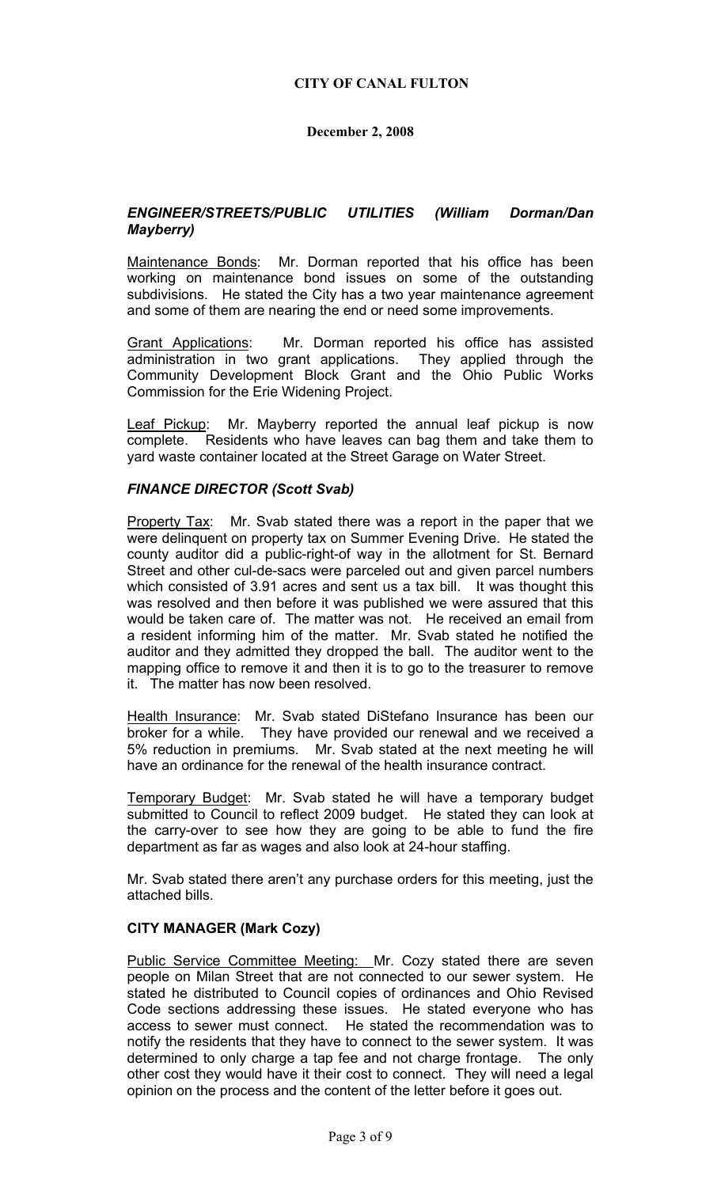### *ENGINEER/STREETS/PUBLIC UTILITIES (William Dorman/Dan Mayberry)*

Maintenance Bonds: Mr. Dorman reported that his office has been working on maintenance bond issues on some of the outstanding subdivisions. He stated the City has a two year maintenance agreement and some of them are nearing the end or need some improvements.

Grant Applications: Mr. Dorman reported his office has assisted administration in two grant applications. They applied through the Community Development Block Grant and the Ohio Public Works Commission for the Erie Widening Project.

Leaf Pickup: Mr. Mayberry reported the annual leaf pickup is now complete. Residents who have leaves can bag them and take them to yard waste container located at the Street Garage on Water Street.

#### *FINANCE DIRECTOR (Scott Svab)*

Property Tax: Mr. Svab stated there was a report in the paper that we were delinquent on property tax on Summer Evening Drive. He stated the county auditor did a public-right-of way in the allotment for St. Bernard Street and other cul-de-sacs were parceled out and given parcel numbers which consisted of 3.91 acres and sent us a tax bill. It was thought this was resolved and then before it was published we were assured that this would be taken care of. The matter was not. He received an email from a resident informing him of the matter. Mr. Svab stated he notified the auditor and they admitted they dropped the ball. The auditor went to the mapping office to remove it and then it is to go to the treasurer to remove it. The matter has now been resolved.

Health Insurance: Mr. Svab stated DiStefano Insurance has been our broker for a while. They have provided our renewal and we received a 5% reduction in premiums. Mr. Svab stated at the next meeting he will have an ordinance for the renewal of the health insurance contract.

Temporary Budget: Mr. Svab stated he will have a temporary budget submitted to Council to reflect 2009 budget. He stated they can look at the carry-over to see how they are going to be able to fund the fire department as far as wages and also look at 24-hour staffing.

Mr. Svab stated there aren't any purchase orders for this meeting, just the attached bills.

## **CITY MANAGER (Mark Cozy)**

Public Service Committee Meeting: Mr. Cozy stated there are seven people on Milan Street that are not connected to our sewer system. He stated he distributed to Council copies of ordinances and Ohio Revised Code sections addressing these issues. He stated everyone who has access to sewer must connect. He stated the recommendation was to notify the residents that they have to connect to the sewer system. It was determined to only charge a tap fee and not charge frontage. The only other cost they would have it their cost to connect. They will need a legal opinion on the process and the content of the letter before it goes out.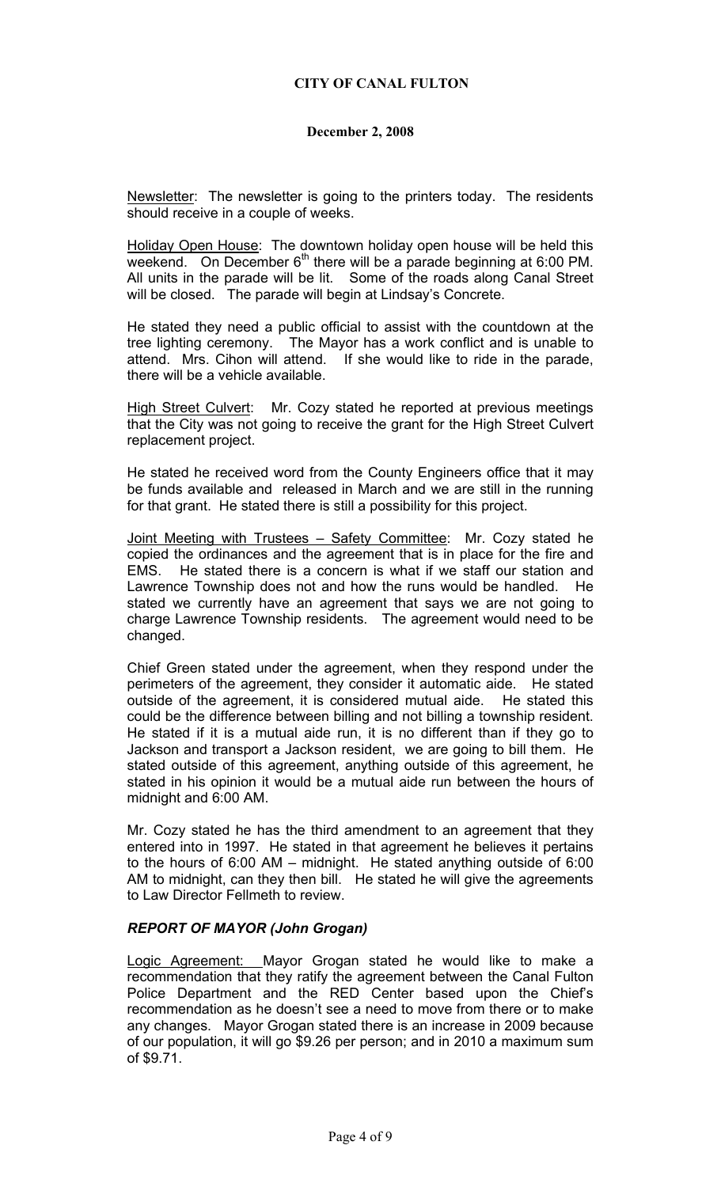Newsletter: The newsletter is going to the printers today. The residents should receive in a couple of weeks.

Holiday Open House: The downtown holiday open house will be held this weekend. On December  $6<sup>th</sup>$  there will be a parade beginning at 6:00 PM. All units in the parade will be lit. Some of the roads along Canal Street will be closed. The parade will begin at Lindsay's Concrete.

He stated they need a public official to assist with the countdown at the tree lighting ceremony. The Mayor has a work conflict and is unable to attend. Mrs. Cihon will attend. If she would like to ride in the parade, there will be a vehicle available.

High Street Culvert: Mr. Cozy stated he reported at previous meetings that the City was not going to receive the grant for the High Street Culvert replacement project.

He stated he received word from the County Engineers office that it may be funds available and released in March and we are still in the running for that grant. He stated there is still a possibility for this project.

Joint Meeting with Trustees - Safety Committee: Mr. Cozy stated he copied the ordinances and the agreement that is in place for the fire and EMS. He stated there is a concern is what if we staff our station and Lawrence Township does not and how the runs would be handled. He stated we currently have an agreement that says we are not going to charge Lawrence Township residents. The agreement would need to be changed.

Chief Green stated under the agreement, when they respond under the perimeters of the agreement, they consider it automatic aide. He stated outside of the agreement, it is considered mutual aide. He stated this could be the difference between billing and not billing a township resident. He stated if it is a mutual aide run, it is no different than if they go to Jackson and transport a Jackson resident, we are going to bill them. He stated outside of this agreement, anything outside of this agreement, he stated in his opinion it would be a mutual aide run between the hours of midnight and 6:00 AM.

Mr. Cozy stated he has the third amendment to an agreement that they entered into in 1997. He stated in that agreement he believes it pertains to the hours of 6:00 AM – midnight. He stated anything outside of 6:00 AM to midnight, can they then bill. He stated he will give the agreements to Law Director Fellmeth to review.

## *REPORT OF MAYOR (John Grogan)*

Logic Agreement: Mayor Grogan stated he would like to make a recommendation that they ratify the agreement between the Canal Fulton Police Department and the RED Center based upon the Chief's recommendation as he doesn't see a need to move from there or to make any changes. Mayor Grogan stated there is an increase in 2009 because of our population, it will go \$9.26 per person; and in 2010 a maximum sum of \$9.71.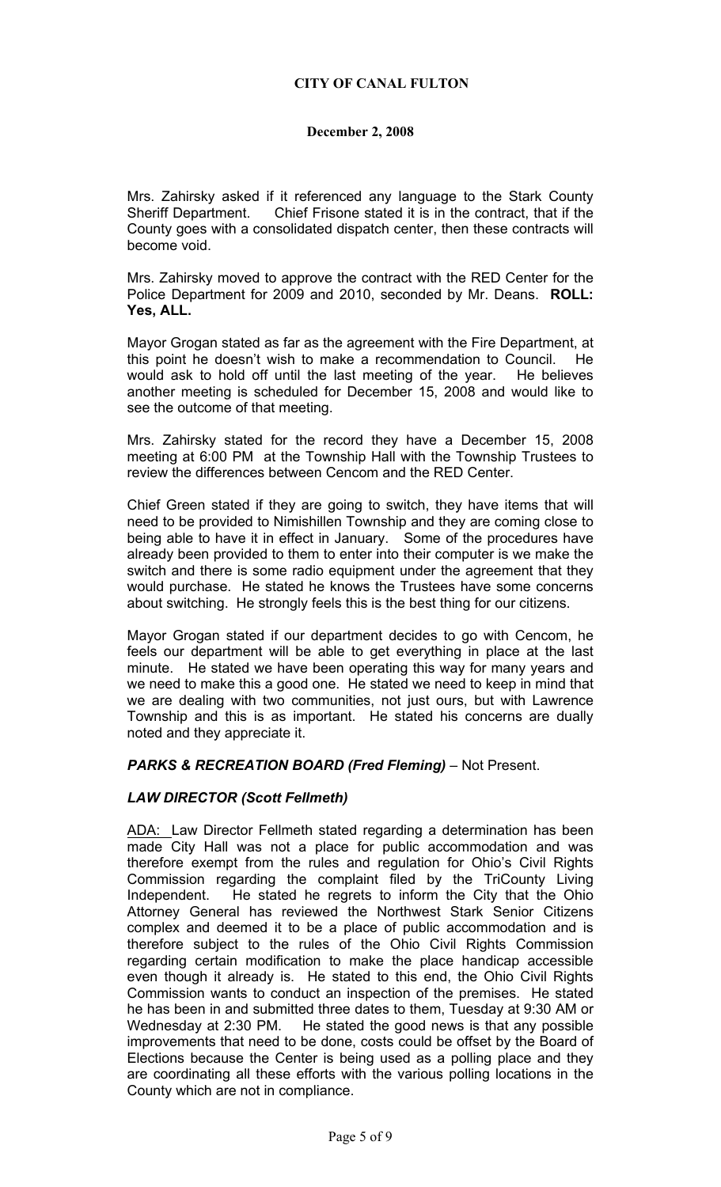Mrs. Zahirsky asked if it referenced any language to the Stark County Sheriff Department. Chief Frisone stated it is in the contract, that if the County goes with a consolidated dispatch center, then these contracts will become void.

Mrs. Zahirsky moved to approve the contract with the RED Center for the Police Department for 2009 and 2010, seconded by Mr. Deans. **ROLL: Yes, ALL.** 

Mayor Grogan stated as far as the agreement with the Fire Department, at this point he doesn't wish to make a recommendation to Council. He would ask to hold off until the last meeting of the year. He believes another meeting is scheduled for December 15, 2008 and would like to see the outcome of that meeting.

Mrs. Zahirsky stated for the record they have a December 15, 2008 meeting at 6:00 PM at the Township Hall with the Township Trustees to review the differences between Cencom and the RED Center.

Chief Green stated if they are going to switch, they have items that will need to be provided to Nimishillen Township and they are coming close to being able to have it in effect in January. Some of the procedures have already been provided to them to enter into their computer is we make the switch and there is some radio equipment under the agreement that they would purchase. He stated he knows the Trustees have some concerns about switching. He strongly feels this is the best thing for our citizens.

Mayor Grogan stated if our department decides to go with Cencom, he feels our department will be able to get everything in place at the last minute. He stated we have been operating this way for many years and we need to make this a good one. He stated we need to keep in mind that we are dealing with two communities, not just ours, but with Lawrence Township and this is as important. He stated his concerns are dually noted and they appreciate it.

*PARKS & RECREATION BOARD (Fred Fleming)* – Not Present.

## *LAW DIRECTOR (Scott Fellmeth)*

ADA: Law Director Fellmeth stated regarding a determination has been made City Hall was not a place for public accommodation and was therefore exempt from the rules and regulation for Ohio's Civil Rights Commission regarding the complaint filed by the TriCounty Living Independent. He stated he regrets to inform the City that the Ohio Attorney General has reviewed the Northwest Stark Senior Citizens complex and deemed it to be a place of public accommodation and is therefore subject to the rules of the Ohio Civil Rights Commission regarding certain modification to make the place handicap accessible even though it already is. He stated to this end, the Ohio Civil Rights Commission wants to conduct an inspection of the premises. He stated he has been in and submitted three dates to them, Tuesday at 9:30 AM or Wednesday at 2:30 PM. He stated the good news is that any possible improvements that need to be done, costs could be offset by the Board of Elections because the Center is being used as a polling place and they are coordinating all these efforts with the various polling locations in the County which are not in compliance.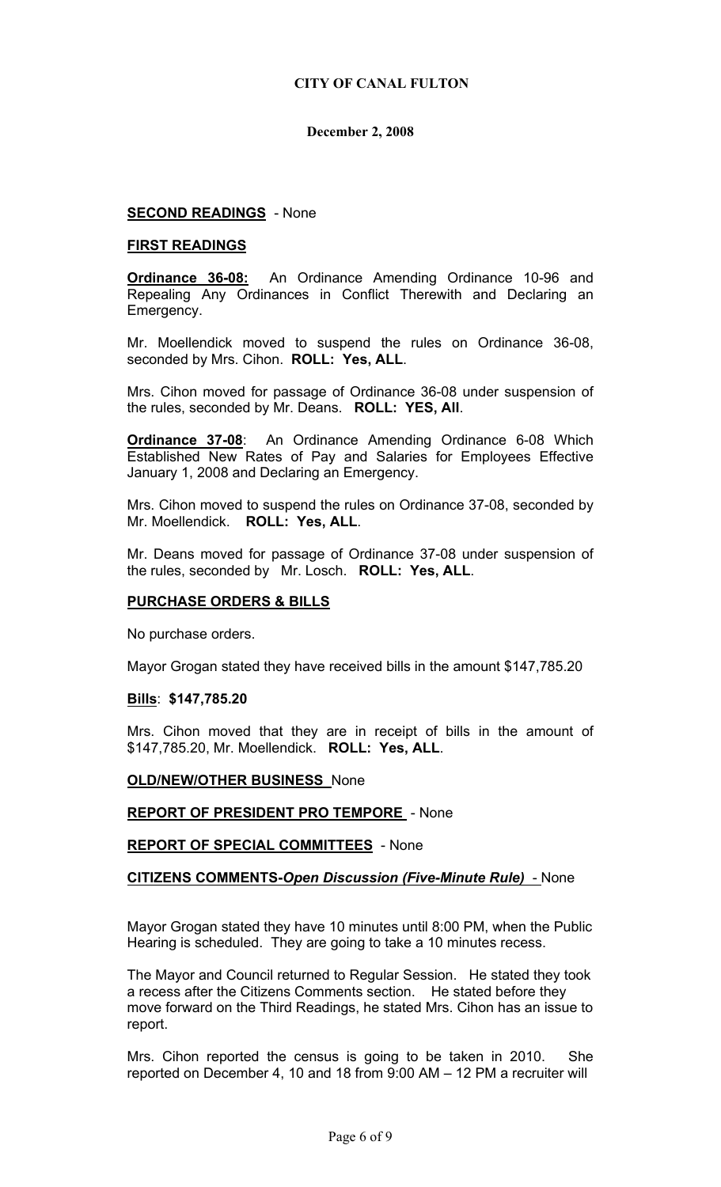### **SECOND READINGS** - None

#### **FIRST READINGS**

**Ordinance 36-08:** An Ordinance Amending Ordinance 10-96 and Repealing Any Ordinances in Conflict Therewith and Declaring an Emergency.

Mr. Moellendick moved to suspend the rules on Ordinance 36-08, seconded by Mrs. Cihon. **ROLL: Yes, ALL**.

Mrs. Cihon moved for passage of Ordinance 36-08 under suspension of the rules, seconded by Mr. Deans. **ROLL: YES, All**.

**Ordinance 37-08**: An Ordinance Amending Ordinance 6-08 Which Established New Rates of Pay and Salaries for Employees Effective January 1, 2008 and Declaring an Emergency.

Mrs. Cihon moved to suspend the rules on Ordinance 37-08, seconded by Mr. Moellendick. **ROLL: Yes, ALL**.

Mr. Deans moved for passage of Ordinance 37-08 under suspension of the rules, seconded by Mr. Losch. **ROLL: Yes, ALL**.

#### **PURCHASE ORDERS & BILLS**

No purchase orders.

Mayor Grogan stated they have received bills in the amount \$147,785.20

#### **Bills**: **\$147,785.20**

Mrs. Cihon moved that they are in receipt of bills in the amount of \$147,785.20, Mr. Moellendick. **ROLL: Yes, ALL**.

#### **OLD/NEW/OTHER BUSINESS** None

**REPORT OF PRESIDENT PRO TEMPORE** - None

**REPORT OF SPECIAL COMMITTEES** - None

#### **CITIZENS COMMENTS-***Open Discussion (Five-Minute Rule)* - None

Mayor Grogan stated they have 10 minutes until 8:00 PM, when the Public Hearing is scheduled. They are going to take a 10 minutes recess.

The Mayor and Council returned to Regular Session. He stated they took a recess after the Citizens Comments section. He stated before they move forward on the Third Readings, he stated Mrs. Cihon has an issue to report.

Mrs. Cihon reported the census is going to be taken in 2010. She reported on December 4, 10 and 18 from 9:00 AM – 12 PM a recruiter will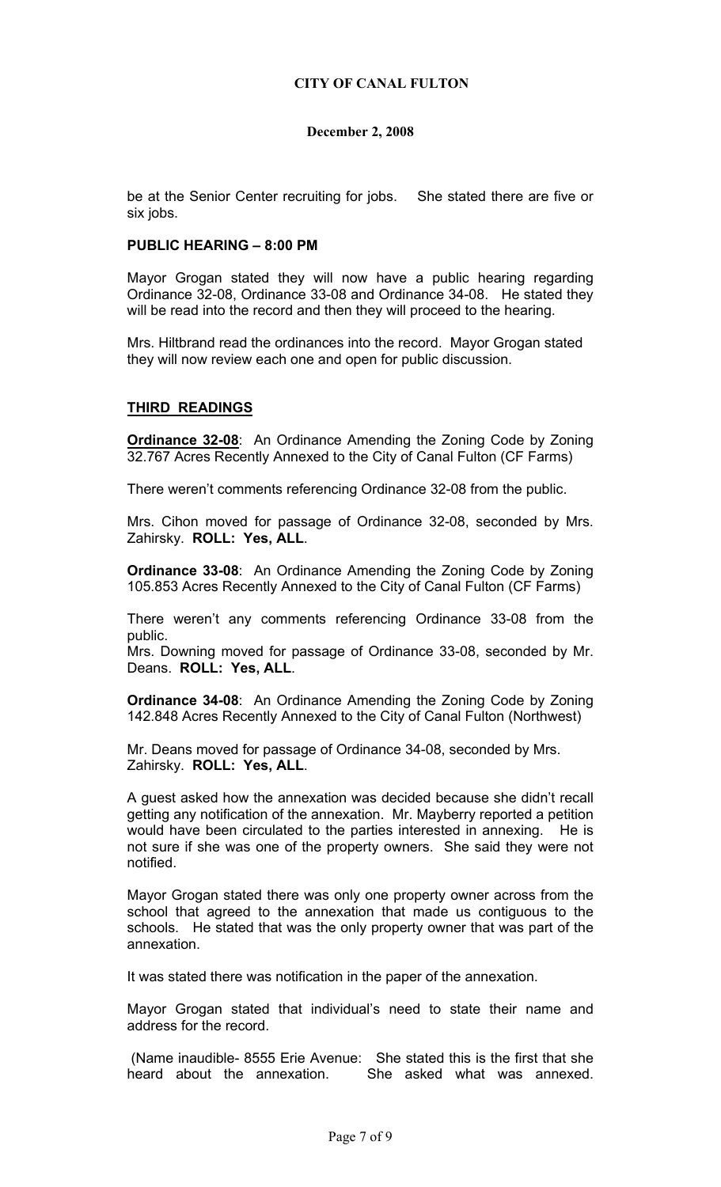be at the Senior Center recruiting for jobs. She stated there are five or six jobs.

#### **PUBLIC HEARING – 8:00 PM**

Mayor Grogan stated they will now have a public hearing regarding Ordinance 32-08, Ordinance 33-08 and Ordinance 34-08. He stated they will be read into the record and then they will proceed to the hearing.

Mrs. Hiltbrand read the ordinances into the record. Mayor Grogan stated they will now review each one and open for public discussion.

#### **THIRD READINGS**

**Ordinance 32-08**: An Ordinance Amending the Zoning Code by Zoning 32.767 Acres Recently Annexed to the City of Canal Fulton (CF Farms)

There weren't comments referencing Ordinance 32-08 from the public.

Mrs. Cihon moved for passage of Ordinance 32-08, seconded by Mrs. Zahirsky. **ROLL: Yes, ALL**.

**Ordinance 33-08**: An Ordinance Amending the Zoning Code by Zoning 105.853 Acres Recently Annexed to the City of Canal Fulton (CF Farms)

There weren't any comments referencing Ordinance 33-08 from the public.

Mrs. Downing moved for passage of Ordinance 33-08, seconded by Mr. Deans. **ROLL: Yes, ALL**.

**Ordinance 34-08**: An Ordinance Amending the Zoning Code by Zoning 142.848 Acres Recently Annexed to the City of Canal Fulton (Northwest)

Mr. Deans moved for passage of Ordinance 34-08, seconded by Mrs. Zahirsky. **ROLL: Yes, ALL**.

A guest asked how the annexation was decided because she didn't recall getting any notification of the annexation. Mr. Mayberry reported a petition would have been circulated to the parties interested in annexing. He is not sure if she was one of the property owners. She said they were not notified.

Mayor Grogan stated there was only one property owner across from the school that agreed to the annexation that made us contiguous to the schools. He stated that was the only property owner that was part of the annexation.

It was stated there was notification in the paper of the annexation.

Mayor Grogan stated that individual's need to state their name and address for the record.

 (Name inaudible- 8555 Erie Avenue: She stated this is the first that she heard about the annexation. She asked what was annexed.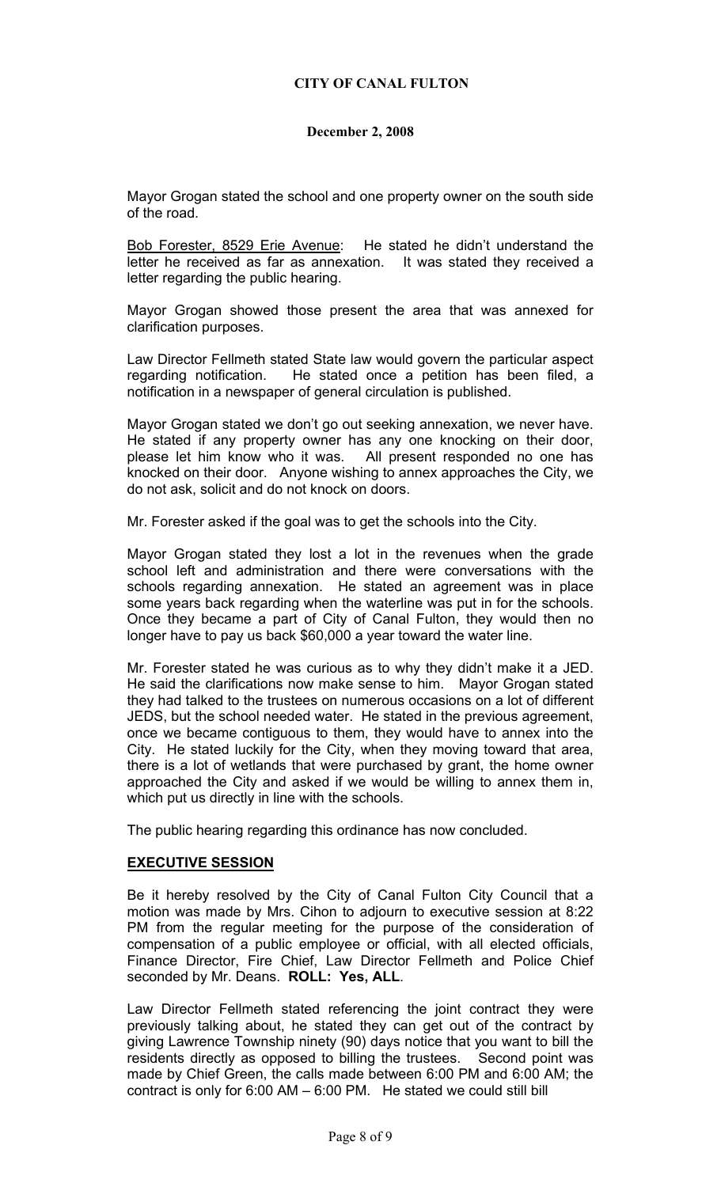Mayor Grogan stated the school and one property owner on the south side of the road.

Bob Forester, 8529 Erie Avenue: He stated he didn't understand the letter he received as far as annexation. It was stated they received a letter regarding the public hearing.

Mayor Grogan showed those present the area that was annexed for clarification purposes.

Law Director Fellmeth stated State law would govern the particular aspect regarding notification. He stated once a petition has been filed, a notification in a newspaper of general circulation is published.

Mayor Grogan stated we don't go out seeking annexation, we never have. He stated if any property owner has any one knocking on their door, please let him know who it was. All present responded no one has knocked on their door. Anyone wishing to annex approaches the City, we do not ask, solicit and do not knock on doors.

Mr. Forester asked if the goal was to get the schools into the City.

Mayor Grogan stated they lost a lot in the revenues when the grade school left and administration and there were conversations with the schools regarding annexation. He stated an agreement was in place some years back regarding when the waterline was put in for the schools. Once they became a part of City of Canal Fulton, they would then no longer have to pay us back \$60,000 a year toward the water line.

Mr. Forester stated he was curious as to why they didn't make it a JED. He said the clarifications now make sense to him. Mayor Grogan stated they had talked to the trustees on numerous occasions on a lot of different JEDS, but the school needed water. He stated in the previous agreement, once we became contiguous to them, they would have to annex into the City. He stated luckily for the City, when they moving toward that area, there is a lot of wetlands that were purchased by grant, the home owner approached the City and asked if we would be willing to annex them in, which put us directly in line with the schools.

The public hearing regarding this ordinance has now concluded.

#### **EXECUTIVE SESSION**

Be it hereby resolved by the City of Canal Fulton City Council that a motion was made by Mrs. Cihon to adjourn to executive session at 8:22 PM from the regular meeting for the purpose of the consideration of compensation of a public employee or official, with all elected officials, Finance Director, Fire Chief, Law Director Fellmeth and Police Chief seconded by Mr. Deans. **ROLL: Yes, ALL**.

Law Director Fellmeth stated referencing the joint contract they were previously talking about, he stated they can get out of the contract by giving Lawrence Township ninety (90) days notice that you want to bill the residents directly as opposed to billing the trustees. Second point was made by Chief Green, the calls made between 6:00 PM and 6:00 AM; the contract is only for 6:00 AM – 6:00 PM. He stated we could still bill